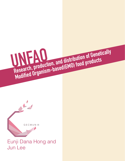

G E C M U N III

# **Research, production, and distribution of Genetically**<br>Research, production, and distribution of Genetically **Modified Organism-based(GMO) food products**<br>Modified Organism-based(GMO) food products **UNFAO**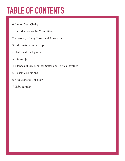# **TABLE OF CONTENTS**

- 0. Letter from Chairs
- 1. Introduction to the Committee
- 2. Glossary of Key Terms and Acronyms
- 3. Information on the Topic
- i. Historical Background
- ii. Status Quo
- 4. Stances of UN Member States and Parties Involved
- 5. Possible Solutions
- 6. Questions to Consider
- 7. Bibliography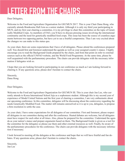# **LETTER FROM THE CHAIRS**

Dear Delegates,

Welcome to the Food and Agriculture Organisation for GECMUN 2017. This is your Chair Dana Hong, who currently attends Branksome Hall Asia as a senior student. Although it is only my third year participating in MUN, and my first year chairing a committee, it is my privilege to chair this committee on the topic of Genetically Modified Crops. As members of FAO, you'll have to discuss pressing issues involving the international community and the need for genetically modified food crops. This issue has been the source of countless arguments between two opposing parties, but have yet to see a fruitful compromise. Thus I am very excited about the changes we can make to this status quo.

As your chair, there are some expectations that I have of all delegates. Please attend the conferences prepared well. You should first and foremost understand the agenda as well as your assigned country's stance. I highly encourage you to read the Background Guide prepared by the chairs, and from that point on refer to external sources such as the official UNFAO website, and the World Food Programme. At the same time, please be well acquainted with the parliamentary procedure. The chairs can provide delegates with the necessary information if delegates wish so.

I hope that you are looking forward to participating in our conference as much as I am looking forward to chairing it. If any questions arise, please don't hesitate to contact the chairs.

Sincerely, Dana Hong

#### Dear Delegates,

Welcome to the Food and Agriculture Organization for GECMUN III. This is your chair Jun Lee, who currently attends to Korea International School Jeju as a sophomore student. Although this is my second year of experience of Model United Nations and the first year of chairing a committee, I am very enthusiastic about our upcoming conference. In this committee, delegates will be discussing about the controversy regarding the needs Genetically Modified Food. The matter still remains unresolved so it is up to you, delegates, to propose a firm resolution to settle the case.

As your chair, I have some expectations for all delegates of our committee. First and foremost, please respect all delegates in our committee during and after the conference. Heated debates are welcome, but all delegates must have respect for each other at all times. Also, please be prepared for the committee. Understand the agenda as your nation's stance and prepare arguments based on them. The Background Guide is given as a tool for the committee for the delegates so please use them and other external resources as well. Finally, be aware of the parliamentary procedures for the conference. The chairs can provide delegates with the necessary information if necessary.

I look forward to meeting all the delegates at the conference and hope that we will have fruitful and fun debates. If any questions arise, please don't hesitate to contact the chairs.

Sincerely, Jun Lee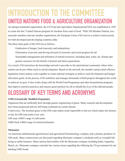# **INTRODUCTION TO THE COMMITTEE UNITED NATIONS FOOD & AGRICULTURE ORGANIZATION**

An intergovernmental organisation, the UN Food and Agriculture Organization(FAO) was established in 1945 to create the first "United Nations program for freedom from want of food." With 194 Member Nations, two associate members and one member organisation, the European Union, FAO strives to achieve food security for both developed and developing countries alike.

The three main goals of the FAO are as follows:

Eradication of hunger, food insecurity and malnutrition

Elimination of poverty and driving forward of economic and social progress for all

Sustainable management and utilisation of natural resources, including land, water, air, climate and genetic resources for the benefit of present and future generations.

As a result, FAO prioritises the knowledge network it provides to the international community where information can be put within reach to aid development. Based on the network, the member nations draft effective legislation where nations come together to create national strategies to achieve rural development and hunger alleviation goals. In the process, FAO mobilizes and manages thousands of field projects throughout the world to achieves its goal. It also works along with the World Food Programme and other humanitarian programs that improve nutrition practices and ensures good nutrition for all to rebuild the lives of the affected people.

## **GLOSSARY OF KEY TERMS AND ACRONYMS**

#### **GMO (Genetically Modified Organism):**

Organisms that are artificially born through genetic engineering of genes. Many research and development have been progressed and are still being continued on certain nations.

Controversy: The terminal genes in the GM crops makes seeds impossible to harvest which makes the farmers to buy for GM crop seeds every year.

GM crop: GMO's stage of cultivation

GMO food: GMOs stage of commercialization

#### **Monsanto:**

An American multinational agrochemical and agricultural biotechnology company and a primary producer of GM seeds. Many controversies are discussed regarding Monsanto company's misdeeds such as wrongful lobbying or unfair business. Many nations had troubles with the Monsanto company including India, Argentina, Brazil, etc. Monsanto company currently has various issues regarding the lobbying the US government for not labeling GMO foods.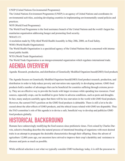UNEP (United Nations Environmental Programme):

The United Nations Environment Programme (UNEP) is an agency of United Nations and coordinates its environmental activities, assisting developing countries in implementing environmentally sound policies and practices.

WFP (World Food Programme):

The World Food Programme is the food assistance branch of the United Nations and the world's largest humanitarian organisation addressing hunger and promoting food security.

WHA53.15:

A resolution made by Fifty-third World Health Assembly in May 20th, 2000, on Food Safety.

WHO (World Health Organisation):

The World Health Organisation is a specialized agency of the United Nations that is concerned with international public health.

WTO (World Trade Organisation):

The World Trade Organisation is an intergovernmental organization which regulates international trade.

## **AGENDA OVERVIEW**

Agenda: Research, production, and distribution of Genetically Modified Organism-based(GMO) food products

The Agenda focuses on Genetically Modified Organism-based(GMO) food product research, production, and distribution in order to help reduce poverty and starvation rate especially in developing nations. GMO food products hold a number of advantages that can be beneficial for countries suffering through extreme poverty. They are an effective way to provide the locals with larger revenues while spending less resources. Food sources, especially crops, can be modified to grow better in adverse conditions, such as pests and droughts. In fact, many analysts carefully agree that there will be less starvation in the world with GMO food products. However, the current FAO's position on the GMO food products is debatable. There is still a lot to be discussed about the after-effects of GMO products, and the ethical issues related with GMO are disputable. Thus the FAO committee's role of this agenda is to devise a safe, beneficial way to develop and publicize GMO food products globally.

# **HISTORICAL BACKGROUND**

Humans have unknowingly modifying the food sources since prehistoric times. First coined by Charles Darwin, selective breeding describes the natural process of intentional breeding of organisms with most desired traits in an attempt to propagate the desirable characteristics through their offspring. Since the advent of agriculture 12,000 years ago, our ancestors have strived to improve their crop's durability and resistance to diseases and pests as much as possible.

While artificial selection is not what we typically consider GMO technology today, it is still the precursor to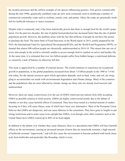the modern processes and the earliest example of our species influencing genetics. First grown commercially during the mid 1990s, genetically modified crops are now most commonly used in modifying a number of commercial commodity crops such as soybean, canola, corn, and potato. Often, the crops are genetically modified for herbicide tolerance or insect resistance.

Despite what is commonly said, it has been statistically proven that there is enough food for the world's population. For the past two decades, the rate of global food production has increased faster than the rate of global population growth. However, the problem arises with the fact that millions of people do not have the money to purchase the food. The latest State of Food Insecurity in the World report in 2015, jointly prepared by the FAO, the International Fund for Agricultural Development(IFAD), and the World Food Programme (WFP), estimated that almost 800 million people are chronically undernourished in 2014-16. This means that one out of every nine people in the world is currently unable to access enough food to conduct an active and healthy life. At the same time, it is estimated that over two billion people suffer from hidden hunger, a nutritional deficiency caused by a lack of balance in otherwise full diet.

This issue is aggravated by a number of external factors. The world continues to experience an exceptional growth in population, as the global population increased from about 1.6 billion people in the 1900 to 7.4 billion today. Yet the natural resources upon which agriculture depends, such as land, water, and soil, are struggling to accommodate our needs with environmental degradation and climate change. Many of the countries and the populations that are most affected by climate change are those who are already food insecure and malnourished.

However, there are many controversies over the use of GMOs which prevent nations from fully accepting GMOs as possible solution to food security. GMOs are highly controversial mostly due to the debate of whether or not they cause harmful effects if consumed. They have been tested in a limited amount of studies focusing on if they will cause illness, none of which have been very informative. Most of the European Union believes that GMOs are dangerous, and can cause illnesses to the consumers. They have gone to lengths to put strong restrictions and in some cases even outright ban GMOs, even though some other countries such as the United States have GMOs consist up to 80% of its food supply.

In addition to the debate over whether they cause illnesses, there is a speculation that GMOs will have harmful effects on the environment, causing an increased amount of pests that are insecticide resistant, a high amount of herbicide-resistant "superweeds," and will also cause the environment to become polluted with harsh chemicals from herbicides and pesticides like Roundup, which is toxic.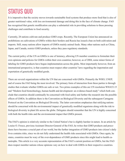## **STATUS QUO**

It is imperative that the society moves towards sustainable food systems that produce more food that is also of greater nutritional value, with less environmental damage and doing this in the face of climate change. FAO has recognised that genetic modification can play a substantial role in providing solutions to these pressing challenges and contribute to food security.

Currently, 28 nations cultivate and produce GMO crops. Recently, The European Union has announced on prohibitions on cultivations of GMOs within their borders and Russia has issued a ban on both cultivation and imports. Still, many nations allow imports of GMOs mainly animal feeds. Many other nations such as China, Japan, and Canada, restrict GMO products, unless they pass regulatory standards.

The current policy of the UN on GMOs is one of leniency, allowing UN member countries to formulate their own opinions and policies for GMOs within their own countries; however, as of 2004, some minor forms of labeling for GMO products have begun implementation across the globe. Most importantly however, from an international perspective, is that countries must respect other countries' laws regarding the importation and exportation of genetically modified goods.

There are several organizations within the UN that are concerned with GMOs. Primarily the WHO, UNEP, and of course the FAO being the most involved. The primary form of interaction from these parties is through studies that evaluate whether GMOs are safe or not. Two prime examples of this are UN resolution WHA53.15 and "Modern food biotechnology, human health and development: an evidence-based study" which both conclude that countries should continually be concerned with food safety and further the research into the possible effects of GMOs. In addition there is the Convention on Biological Diversity and the subsequent Cartagena Protocol on the Convention on Biological Diversity. The latter convention emphasises that ratifying nations should be concerned with the environmental impact of genetically modified organisms along with the risk to biological diversity in plant life across the globe. Delegates should remember that the UN is highly concerned with both the health risks and the environmental impact that GMOs present.

The FAO's opinion is relatively similar to the United Nation's but is slightly harsher in nature. In an article by Louise O. Fresco, previous Assistant Director-General of the FAO, he writes that GMO products and procedures have become a crucial part of our world, but the further integration of GMO products into citizen's daily lives contains risks, since we do not fully understand the health risks associated with GMOs. Once again, he states, countries must be wary of the over-dependence of GMO products since this might lead to health catastrophe. This article is a very accurate representation of the FAO's current position on GMOs, but the FAO does respect member nations whose opinions vary on how to deal with GMOs in their respective countries.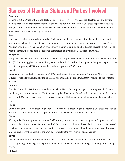## **Stances of Member States and Parties Involved**

#### **Australia**:

In Australia, the Office of the Gene Technology Regulator (OGTR) oversees the development and environment release of GM organisms under the Gene Technology Act 2000. Many GM crops approved for use as food, are grown for animal feed and some GMO food are even provided in the market for the public while others don't because of a variety of reasons.

#### **Austria**:

The Austrian public is strongly opposed to GMO crops. With small amount of land available for agriculture, few farmers believe that coexistence among organic, conventional, and transgenic farming can occur. The Austrian government's stance on this issue reflects the public opinion and has banned several GMOS. In line with the stance, there has been no reported commercial cultivation of GMO crops in Austria.

#### **Bangladesh**:

Bangladesh has become the first South Asian country to approve commercial cultivation of a genetically modified (GM) food - eggplant spliced with a gene from the soil, Bacterium Thuringiensis. Bangladesh government is positive regarding GMO research and actively accepts new GMO crops.

#### **Brazil**:

Brazilian government allows research on GMOs but has specific law regulation (Law code No.11,105) such as rules for production and marketing of GMOs and punishments for administrative violations and criminal offense.

#### **Canada**:

Canada allowed 85 GM foods approved for sale since 1994. Currently, four gm crops are grown in Canada; canola, soybean, corn, and sugar. GM foods are regulated by Health Canada before it enters the market. However, Health Canada released reports that consumers are still skeptical about, if not completely opposed to, GM.

#### **Chile**:

Chile is one of the 28 GM producing nations. However, while producing and exporting GM crops are allowed in Chile's GM regulation code, GM production for domestic consumption is not allowed.

#### **China**:

Although the Chinese government allows GMO testing, production, and marketing under the government's approval, the chinese people disapproves GMO food. However, China will push for the commercialisation of genetically modified soybeans over the next five years as it seeks to raise the efficiency of its agriculture sector, potentially boosting output of the crop by the world's top soy importer and consumer.

#### **Egypt**:

The law and regulation of Egypt regarding the GMO food is overall undeveloped. Although Egypt allows GMO's growing, importing, and exporting, there are no restrictions on researching, producing, or marketing GMOs.

#### **Finland**: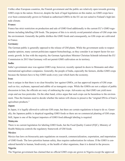Unlike other European countries, the Finnish government and the public are relatively open towards growing GMO crops in the nation. However, despite the lack of legal legislation on this matter, no GMO crops have ever been commercially grown in Finland as authorised GMOs in the EU are not suited to Finland's high-latitude climate.

#### **France**:

France has strict restriction on production and sale of GMO food additionally to the current EU's GMO regulations including labelling GM foods. The purpose of this is to strictly avoid potential release of GM crops into the environment. Generally the public dislikes the GMO foods and consequently, no GM crops are cultivated in France.

#### **Germany**:

The German public is generally opposed to the release of GM plants. While the government seeks to respect popular opinion, many current politicians support biotechnology, as they consider it an import factor for economic growth. In line with the majority, the German Agriculture Minister Christian Schmidt informed the EU Commission in 2015 that Germany will not permit GMO cultivation on its territory.

#### **India**:

India's government once was against GMO crop, however, recently opened its doors to Monsanto and other international agriculture companies. Generally, the people of India, especially the farmers, dislike GMO crops because the farmers have to buy GMO seeds every year which hurts the economy.

#### **Iran**:

Iran is unique in that there is no clear biosafety law against GMOs, yet has approved imports of GM crops such as rice, soybeans, rapeseed and edible oil as transgenic crops. While the GMOs are not a subject of public discussion in Iran, the officials are wary of embracing the crops. Advocates say that GMO can yield more crops and use less pesticides. On the other hand, critics argue that such crops can be hazardous to the environment. Thus the Iranians need to decide whether the nation will choose to preserve the "original DNAs of Iran's agriculture products."

#### **Japan**:

In Japan, it is legally allowed to cultivate GM crops, but there are certain regulations to keep to do so. Generally, the Japanese public is skeptical regarding GMO foods so there are no commercial planting of GM crops. Still, Japan is one of the largest importers of GMO food although labeling is required.

#### **Malaysia**:

There is no current legislation for labeling GMO foods, but the Food Quality Control (FQC), Ministry of Health Malaysia controls the regulatory framework of GM foods.

#### **Mexico**:

Mexico has laws on biosecurity puts regulations on research, commercialization, exportation, and importation of GMO foods. The laws prioritize human safety, thus requires authorization for release. If the GMO is considered harmful to human, biodiversity, or the health of other organisms, than it is denied in the process. **Nigeria**:

The Nigerian government has claimed that no official GMO crops are grown in Nigeria except the approved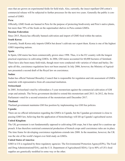ones that are grown on experimental fields for field trials. Also, currently, the insect repellant GM cotton's commercial release will be subjected to further processes for the next two years. Generally the public is concerned of GMO.

#### **Peru**:

Officially, GMO foods are banned in Peru for the purpose of protecting biodiversity and Peru's native plants, but more than 70% of the foods on the supermarket shelves in Peru contain GMOs.

#### **Russian Federation**:

Since 2015, Russia has officially banned cultivation and import of GMO food within the nation.

#### **South Korea:**

Currently, South Korea only imports GMOs but doesn't cultivate nor export them. Korea is one of the highest GMO importing nations.

#### **Spain**:

In Spain, GM maize has been commercially grown since 1998. Thus, it is the EU country with the longest practical experience in cultivating GMOs. In 2006, GM maize accounted for 60,000 hectares of farmland. There have also been many field trials, though most were conducted with varieties of wheat and barley. Despite all this, coexistence regulations have not been enacted. In July 2006, however, the Ministry of Agriculture presented a second draft of the Royal law on coexistence.

#### **Sudan**:

Sudan has official National Biosafety Council that is responsible for regulation and risk assessment of GMOs materials with representative from all concerned institution.

#### **Switzerland**:

In 2005, Switzerland voted by referendum a 5-year moratorium against the commercial cultivation of GM crops and animals. The Swiss government decided to extend this moratorium until 2013. In 2012, the Swiss Parliament voted for a second extension of the moratorium until December 2017.

#### **Thailand**:

Thailand government maintains GM free position by implementing rice GM free policies.

#### **Uganda**:

There are no official information regarding the GMOs in Uganda, but the Ugandan government is close to passing GMO law, believing that the application of biotechnology will lift up Uganda's agricultural sector. **United Kingdom**:

The UK government is not fundamentally opposed to cultivating GM crops, but it has opted for a cautious approach. It has therefore restricted commercial production of biotech crops until coexistence rules are in place. The time frame for developing coexistence regulations extends into 2008. In the meantime, however, the UK was the site of the world's largest ever field study on GMOs.

#### **United States of America**:

GMO in US is regulated by three regulatory agencies: The Environmental Protection Agency(EPA), The Food and Drug Administration(FDA), and the U.S. Department of Agriculture(USDA). Up to 80% of US's food supplies are genetically modified in some way or the other.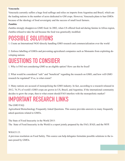#### **Venezuela**:

Venezuela currently suffers a huge food suffrage and relies on imports from Argentina and Brazil, which are the leading nations in the number of acres dedicated to GM crops. However, Venezuela plans to ban GMOs because of the ideology of food sovereignty and the success of small local farmers.

#### **Zambia**:

Zambia strongly disapproves GMO food. In 2002, when US offered food aid during famine in Africa region, Zambia refused to take the aid because the food was genetically modified.

### **POSSIBLE SOLUTIONS**

1. Create an International NGO directly handling GMO research and commercialization over the world

2. Enforce labelling of GMOs and preventing agricultural companies such as Monsanto from exploiting developing nations

## **QUESTIONS TO CONSIDER**

1. Why is FAO not considering GMO as an eligible option? How can this be fixed?

2. What would be considered "safe" and "beneficial" regarding the research on GMO, and how will GMO research be regulated? If so, to what extent?

3. Many nations are accused of monopolising the GMO industry. In fact, according to a research released in 2012, 76.3% of world's GMO crops are grown in US, Brazil, and Argentina. If the international community decides to grow the crops, then to what extent should FAO interfere with the monopolistic market?

### **IMPORTANT RESEARCH LINKS**

The GMO FAQ:

Agricultural Biotechnology Frequently Asked Questions. This source provides answers to many frequently asked questions related to GMOs.

The State of Food Insecurity in the World 2015:

The State of Food Insecurity in the World is a report jointly prepared by the FAO, IFAD, and the WFP.

#### WHA53.15<sup>-1</sup>

A previous resolution on Food Safety. This source can help delegates formulate possible solutions to the issues posed by GMOs.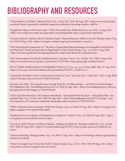# **BIBLIOGRAPHY AND RESOURCES**

"A Brief History Of GMOs." Medical Daily. N.p., 22 July 2015. Web. 09 Aug. 2016. <http://www.medicaldaily. com/brief-history-genetically-modified-organisms-prehistoric-breeding-modern-344076>.

"Bangladesh Takes to GM Food Crops." SciDev.Net South Asia. Pixl8 Interactice, n.d. Web. 14 Aug. 2016. <http://www.scidev.net/south-asia/agriculture/news/bangladesh-takes-to-gm-food-crops.html>

"Country Reports: GMOs in the EU Member States." National Reports: GMOs in the EU Member States. N.p., n.d. Web. 09 Aug. 2016. <http://www.gmo-compass.org/eng/news/country\_reports/>.

"FAO International Symposium on "The Role of Agricultural Biotechnologies in Sustainable Food Systems and Nutrition"." Food and Agriculture Organisation of the United Nations. N.p., n.d. Web. 9 Aug. 2016. <http://www.fao.org/about/meetings/agribiotechs-symposium/about-the-symposium/en/>.

"FAO Warns against Genetically Modified Foods." Saturday Vision. N.p., 10 Mar. 2013. Web. 9 Aug. 2016. <http://www.newvision.co.ug/new\_vision/news/1315374/fao-warns-genetically-modified-foods>.

FIFTY-THIRD WORLD HEALTH ASSEMBLY WHA53.15. N.p.: n.p., n.d. 20 May 2000. Web. 27 Aug. 2016. <http://www.wpro.who.int/foodsafety/documents/docs/WHA53\_15.pdf?ua=1>.

"Genetically Modified Crops Growing In Iran Amid Lax Laws." Payvand. N.p., 7 Sept. 2015. Web. 9 Aug. 2016. <http://www.payvand.com/news/15/jul/1053.html>.

Gimenez, Eric Holt. "We Already Grow Enough Food For 10 Billion People -- and Still Can't End Hunger." The Huffington Post. TheHuffingtonPost.com, n.d. Web. 09 Aug. 2016. <http://www.huffingtonpost.com/ericholt-gimenez/world-hunger\_b\_1463429.html>.

"GM Crops Now Banned in 38 Countries Worldwide - Sustainable Pulse Research - Sustainable Pulse." Sustainable Pulse. N.p., 22 Oct. 2015. Web. 09 Aug. 2016. <http://sustainablepulse.com/2015/10/22/gm-cropsnow-banned-in-36-countries-worldwide-sustainable-pulse-research/#.V5NITZN95Z2>.

"GMO Cultivation Bans in Europe." GMO-free Europe. N.p., n.d. Web. 09 Aug. 2016. <http://www.gmo-freeregions.org/gmo-free-regions/bans.html>.

"Graphical View at Evolution of Population by Continent." GeoHive. N.p., n.d. Web. 09 Aug. 2016. <http:// www.geohive.com/earth/his\_history1.aspx>.

"A Look at GMO Policies in Different Nations - Biology Fortified, Inc." Biology Fortified Inc. N.p., 06 July 2015. Web. 09 Aug. 2016. <https://www.biofortified.org/2015/07/a-look-at-gmo-policies-in-different-nations/>.

"Selective Breeding." Biology Online. N.p., n.d. Web. 9 Aug. 2016. <http://www.biology-online.org/dictionary/ Selective\_breeding>.

"There Is Enough Food to Feed the World." Oxfam Canada. N.p., 14 Oct. 2010. Web. 09 Aug. 2016. <http:// www.oxfam.ca/there-enough-food-feed-world>.